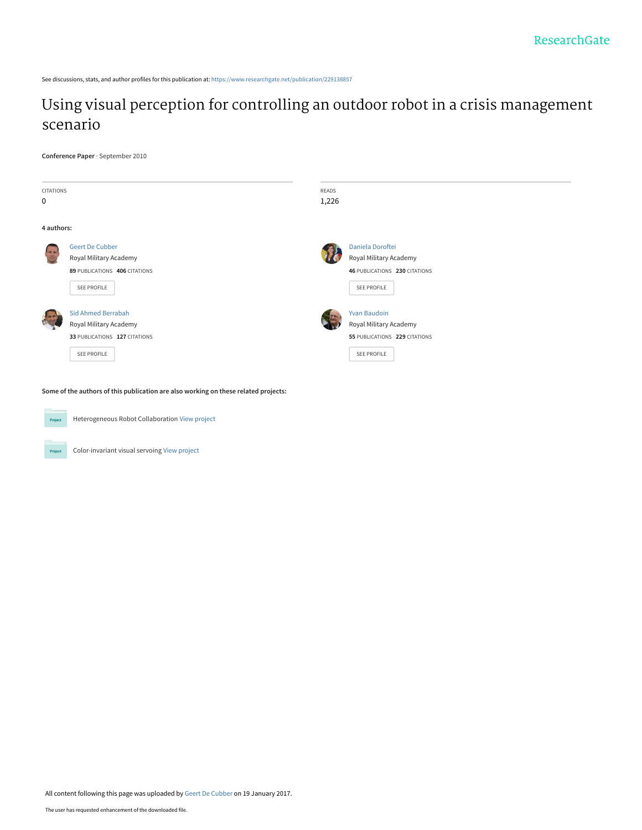See discussions, stats, and author profiles for this publication at: [https://www.researchgate.net/publication/229138857](https://www.researchgate.net/publication/229138857_Using_visual_perception_for_controlling_an_outdoor_robot_in_a_crisis_management_scenario?enrichId=rgreq-1fa5c08989b2cbf740cfc08d78a1dd81-XXX&enrichSource=Y292ZXJQYWdlOzIyOTEzODg1NztBUzo0NTIzMzYyMDUyMDk2MDJAMTQ4NDg1Njc2Mzk1MQ%3D%3D&el=1_x_2&_esc=publicationCoverPdf)

# [Using visual perception for controlling an outdoor robot in a crisis management](https://www.researchgate.net/publication/229138857_Using_visual_perception_for_controlling_an_outdoor_robot_in_a_crisis_management_scenario?enrichId=rgreq-1fa5c08989b2cbf740cfc08d78a1dd81-XXX&enrichSource=Y292ZXJQYWdlOzIyOTEzODg1NztBUzo0NTIzMzYyMDUyMDk2MDJAMTQ4NDg1Njc2Mzk1MQ%3D%3D&el=1_x_3&_esc=publicationCoverPdf) scenario

**Conference Paper** · September 2010

| CITATIONS<br>$\mathbf 0$ |                                                                                                     | READS<br>1,226 |                                                                                               |
|--------------------------|-----------------------------------------------------------------------------------------------------|----------------|-----------------------------------------------------------------------------------------------|
| 4 authors:               |                                                                                                     |                |                                                                                               |
| <b>GR 19</b>             | <b>Geert De Cubber</b><br>Royal Military Academy<br>89 PUBLICATIONS 406 CITATIONS<br>SEE PROFILE    |                | Daniela Doroftei<br>Royal Military Academy<br>46 PUBLICATIONS 230 CITATIONS<br>SEE PROFILE    |
|                          | <b>Sid Ahmed Berrabah</b><br>Royal Military Academy<br>33 PUBLICATIONS 127 CITATIONS<br>SEE PROFILE |                | <b>Yvan Baudoin</b><br>Royal Military Academy<br>55 PUBLICATIONS 229 CITATIONS<br>SEE PROFILE |

**Some of the authors of this publication are also working on these related projects:**



Project

Heterogeneous Robot Collaboration [View project](https://www.researchgate.net/project/Heterogeneous-Robot-Collaboration?enrichId=rgreq-1fa5c08989b2cbf740cfc08d78a1dd81-XXX&enrichSource=Y292ZXJQYWdlOzIyOTEzODg1NztBUzo0NTIzMzYyMDUyMDk2MDJAMTQ4NDg1Njc2Mzk1MQ%3D%3D&el=1_x_9&_esc=publicationCoverPdf)

Color-invariant visual servoing [View project](https://www.researchgate.net/project/Color-invariant-visual-servoing?enrichId=rgreq-1fa5c08989b2cbf740cfc08d78a1dd81-XXX&enrichSource=Y292ZXJQYWdlOzIyOTEzODg1NztBUzo0NTIzMzYyMDUyMDk2MDJAMTQ4NDg1Njc2Mzk1MQ%3D%3D&el=1_x_9&_esc=publicationCoverPdf)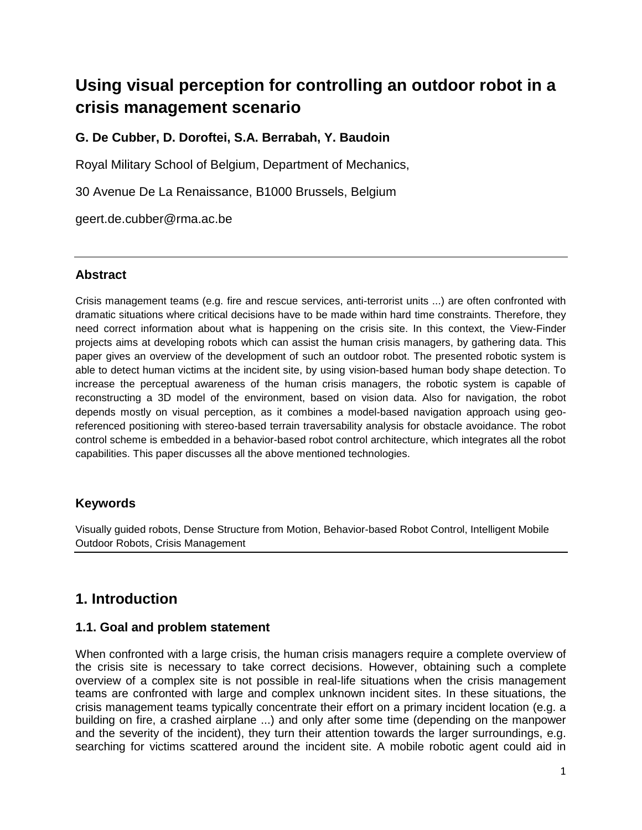# **Using visual perception for controlling an outdoor robot in a crisis management scenario**

### **G. De Cubber, D. Doroftei, S.A. Berrabah, Y. Baudoin**

Royal Military School of Belgium, Department of Mechanics,

30 Avenue De La Renaissance, B1000 Brussels, Belgium

geert.de.cubber@rma.ac.be

#### **Abstract**

Crisis management teams (e.g. fire and rescue services, anti-terrorist units ...) are often confronted with dramatic situations where critical decisions have to be made within hard time constraints. Therefore, they need correct information about what is happening on the crisis site. In this context, the View-Finder projects aims at developing robots which can assist the human crisis managers, by gathering data. This paper gives an overview of the development of such an outdoor robot. The presented robotic system is able to detect human victims at the incident site, by using vision-based human body shape detection. To increase the perceptual awareness of the human crisis managers, the robotic system is capable of reconstructing a 3D model of the environment, based on vision data. Also for navigation, the robot depends mostly on visual perception, as it combines a model-based navigation approach using georeferenced positioning with stereo-based terrain traversability analysis for obstacle avoidance. The robot control scheme is embedded in a behavior-based robot control architecture, which integrates all the robot capabilities. This paper discusses all the above mentioned technologies.

### **Keywords**

Visually guided robots, Dense Structure from Motion, Behavior-based Robot Control, Intelligent Mobile Outdoor Robots, Crisis Management

### **1. Introduction**

#### **1.1. Goal and problem statement**

When confronted with a large crisis, the human crisis managers require a complete overview of the crisis site is necessary to take correct decisions. However, obtaining such a complete overview of a complex site is not possible in real-life situations when the crisis management teams are confronted with large and complex unknown incident sites. In these situations, the crisis management teams typically concentrate their effort on a primary incident location (e.g. a building on fire, a crashed airplane ...) and only after some time (depending on the manpower and the severity of the incident), they turn their attention towards the larger surroundings, e.g. searching for victims scattered around the incident site. A mobile robotic agent could aid in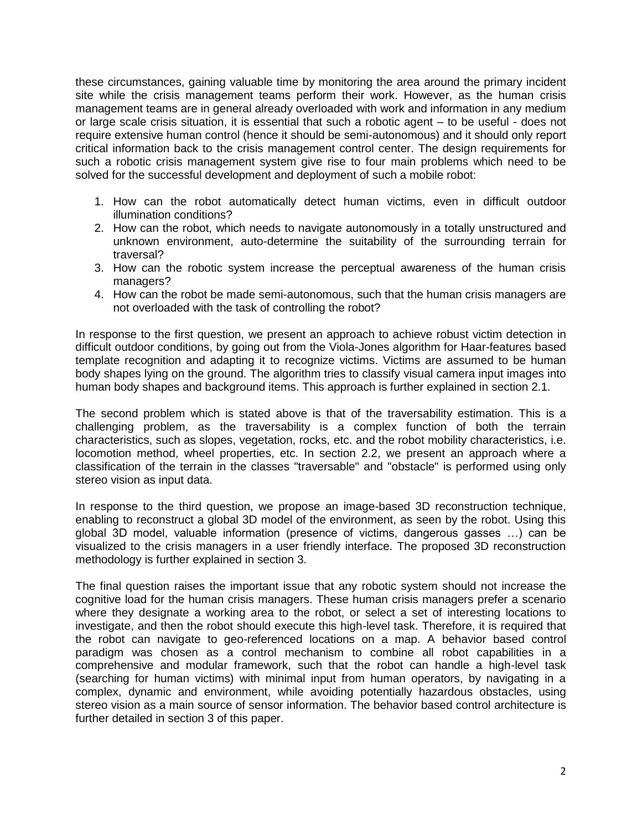these circumstances, gaining valuable time by monitoring the area around the primary incident site while the crisis management teams perform their work. However, as the human crisis management teams are in general already overloaded with work and information in any medium or large scale crisis situation, it is essential that such a robotic agent – to be useful - does not require extensive human control (hence it should be semi-autonomous) and it should only report critical information back to the crisis management control center. The design requirements for such a robotic crisis management system give rise to four main problems which need to be solved for the successful development and deployment of such a mobile robot:

- 1. How can the robot automatically detect human victims, even in difficult outdoor illumination conditions?
- 2. How can the robot, which needs to navigate autonomously in a totally unstructured and unknown environment, auto-determine the suitability of the surrounding terrain for traversal?
- 3. How can the robotic system increase the perceptual awareness of the human crisis managers?
- 4. How can the robot be made semi-autonomous, such that the human crisis managers are not overloaded with the task of controlling the robot?

In response to the first question, we present an approach to achieve robust victim detection in difficult outdoor conditions, by going out from the Viola-Jones algorithm for Haar-features based template recognition and adapting it to recognize victims. Victims are assumed to be human body shapes lying on the ground. The algorithm tries to classify visual camera input images into human body shapes and background items. This approach is further explained in section 2.1.

The second problem which is stated above is that of the traversability estimation. This is a challenging problem, as the traversability is a complex function of both the terrain characteristics, such as slopes, vegetation, rocks, etc. and the robot mobility characteristics, i.e. locomotion method, wheel properties, etc. In section 2.2, we present an approach where a classification of the terrain in the classes "traversable" and "obstacle" is performed using only stereo vision as input data.

In response to the third question, we propose an image-based 3D reconstruction technique, enabling to reconstruct a global 3D model of the environment, as seen by the robot. Using this global 3D model, valuable information (presence of victims, dangerous gasses …) can be visualized to the crisis managers in a user friendly interface. The proposed 3D reconstruction methodology is further explained in section 3.

The final question raises the important issue that any robotic system should not increase the cognitive load for the human crisis managers. These human crisis managers prefer a scenario where they designate a working area to the robot, or select a set of interesting locations to investigate, and then the robot should execute this high-level task. Therefore, it is required that the robot can navigate to geo-referenced locations on a map. A behavior based control paradigm was chosen as a control mechanism to combine all robot capabilities in a comprehensive and modular framework, such that the robot can handle a high-level task (searching for human victims) with minimal input from human operators, by navigating in a complex, dynamic and environment, while avoiding potentially hazardous obstacles, using stereo vision as a main source of sensor information. The behavior based control architecture is further detailed in section 3 of this paper.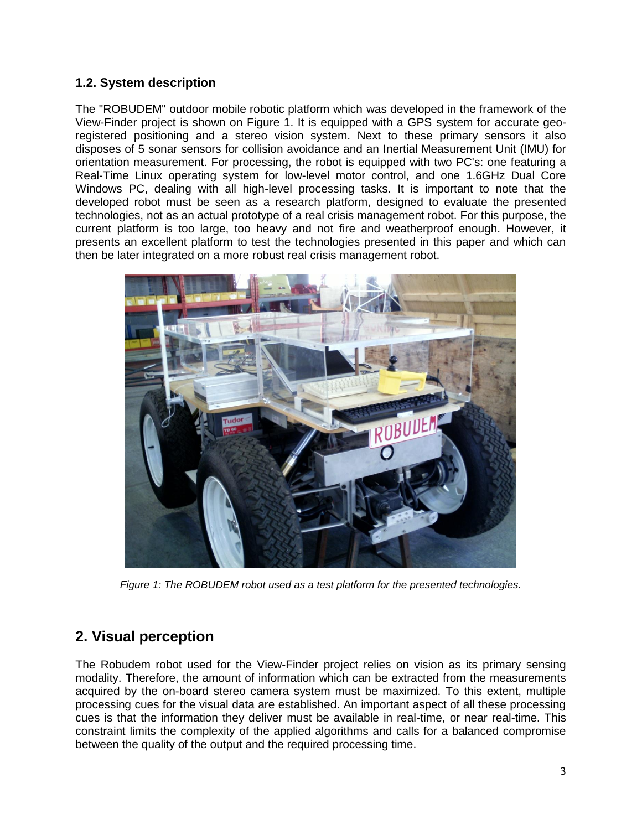### **1.2. System description**

The "ROBUDEM" outdoor mobile robotic platform which was developed in the framework of the View-Finder project is shown on Figure 1. It is equipped with a GPS system for accurate georegistered positioning and a stereo vision system. Next to these primary sensors it also disposes of 5 sonar sensors for collision avoidance and an Inertial Measurement Unit (IMU) for orientation measurement. For processing, the robot is equipped with two PC's: one featuring a Real-Time Linux operating system for low-level motor control, and one 1.6GHz Dual Core Windows PC, dealing with all high-level processing tasks. It is important to note that the developed robot must be seen as a research platform, designed to evaluate the presented technologies, not as an actual prototype of a real crisis management robot. For this purpose, the current platform is too large, too heavy and not fire and weatherproof enough. However, it presents an excellent platform to test the technologies presented in this paper and which can then be later integrated on a more robust real crisis management robot.



*Figure 1: The ROBUDEM robot used as a test platform for the presented technologies.*

# **2. Visual perception**

The Robudem robot used for the View-Finder project relies on vision as its primary sensing modality. Therefore, the amount of information which can be extracted from the measurements acquired by the on-board stereo camera system must be maximized. To this extent, multiple processing cues for the visual data are established. An important aspect of all these processing cues is that the information they deliver must be available in real-time, or near real-time. This constraint limits the complexity of the applied algorithms and calls for a balanced compromise between the quality of the output and the required processing time.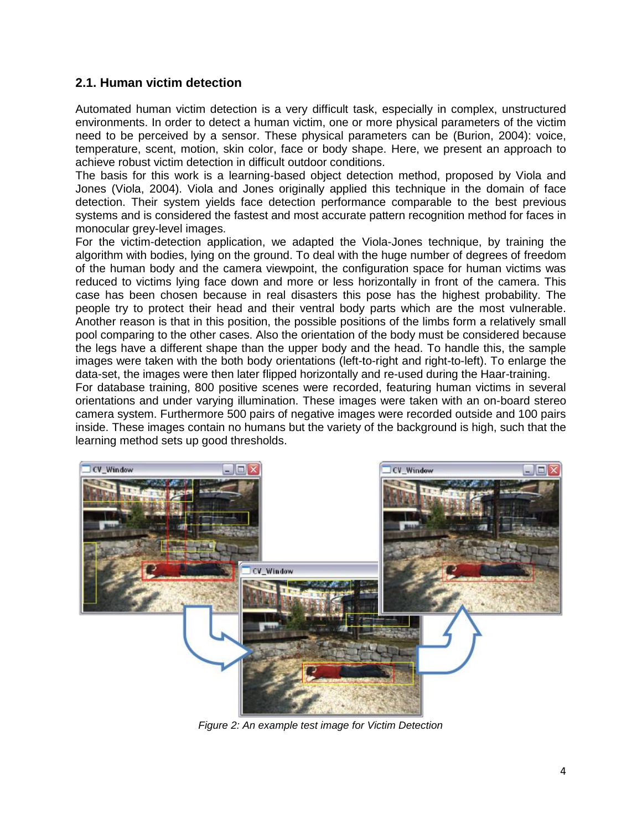#### **2.1. Human victim detection**

Automated human victim detection is a very difficult task, especially in complex, unstructured environments. In order to detect a human victim, one or more physical parameters of the victim need to be perceived by a sensor. These physical parameters can be (Burion, 2004): voice, temperature, scent, motion, skin color, face or body shape. Here, we present an approach to achieve robust victim detection in difficult outdoor conditions.

The basis for this work is a learning-based object detection method, proposed by Viola and Jones (Viola, 2004). Viola and Jones originally applied this technique in the domain of face detection. Their system yields face detection performance comparable to the best previous systems and is considered the fastest and most accurate pattern recognition method for faces in monocular grey-level images.

For the victim-detection application, we adapted the Viola-Jones technique, by training the algorithm with bodies, lying on the ground. To deal with the huge number of degrees of freedom of the human body and the camera viewpoint, the configuration space for human victims was reduced to victims lying face down and more or less horizontally in front of the camera. This case has been chosen because in real disasters this pose has the highest probability. The people try to protect their head and their ventral body parts which are the most vulnerable. Another reason is that in this position, the possible positions of the limbs form a relatively small pool comparing to the other cases. Also the orientation of the body must be considered because the legs have a different shape than the upper body and the head. To handle this, the sample images were taken with the both body orientations (left-to-right and right-to-left). To enlarge the data-set, the images were then later flipped horizontally and re-used during the Haar-training.

For database training, 800 positive scenes were recorded, featuring human victims in several orientations and under varying illumination. These images were taken with an on-board stereo camera system. Furthermore 500 pairs of negative images were recorded outside and 100 pairs inside. These images contain no humans but the variety of the background is high, such that the learning method sets up good thresholds.



*Figure 2: An example test image for Victim Detection*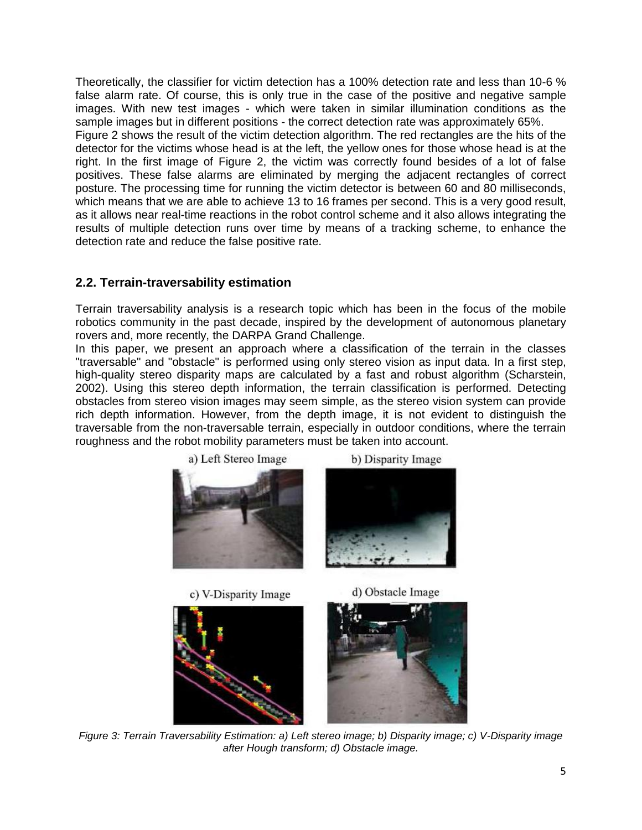Theoretically, the classifier for victim detection has a 100% detection rate and less than 10-6 % false alarm rate. Of course, this is only true in the case of the positive and negative sample images. With new test images - which were taken in similar illumination conditions as the sample images but in different positions - the correct detection rate was approximately 65%. Figure 2 shows the result of the victim detection algorithm. The red rectangles are the hits of the detector for the victims whose head is at the left, the yellow ones for those whose head is at the right. In the first image of Figure 2, the victim was correctly found besides of a lot of false positives. These false alarms are eliminated by merging the adjacent rectangles of correct posture. The processing time for running the victim detector is between 60 and 80 milliseconds, which means that we are able to achieve 13 to 16 frames per second. This is a very good result, as it allows near real-time reactions in the robot control scheme and it also allows integrating the results of multiple detection runs over time by means of a tracking scheme, to enhance the detection rate and reduce the false positive rate.

#### **2.2. Terrain-traversability estimation**

Terrain traversability analysis is a research topic which has been in the focus of the mobile robotics community in the past decade, inspired by the development of autonomous planetary rovers and, more recently, the DARPA Grand Challenge.

In this paper, we present an approach where a classification of the terrain in the classes "traversable" and "obstacle" is performed using only stereo vision as input data. In a first step, high-quality stereo disparity maps are calculated by a fast and robust algorithm (Scharstein, 2002). Using this stereo depth information, the terrain classification is performed. Detecting obstacles from stereo vision images may seem simple, as the stereo vision system can provide rich depth information. However, from the depth image, it is not evident to distinguish the traversable from the non-traversable terrain, especially in outdoor conditions, where the terrain roughness and the robot mobility parameters must be taken into account.







c) V-Disparity Image

d) Obstacle Image



*Figure 3: Terrain Traversability Estimation: a) Left stereo image; b) Disparity image; c) V-Disparity image after Hough transform; d) Obstacle image.*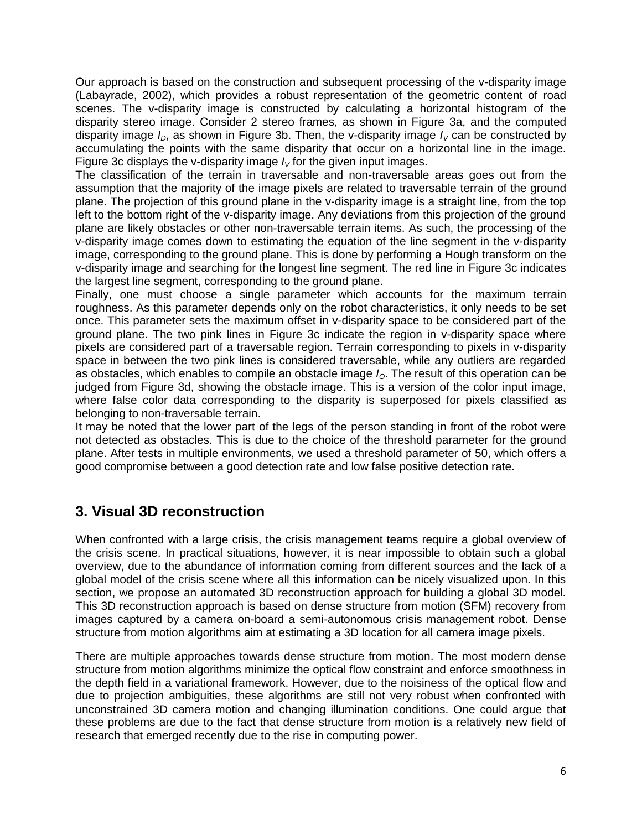Our approach is based on the construction and subsequent processing of the v-disparity image (Labayrade, 2002), which provides a robust representation of the geometric content of road scenes. The v-disparity image is constructed by calculating a horizontal histogram of the disparity stereo image. Consider 2 stereo frames, as shown in Figure 3a, and the computed disparity image  $I_D$ , as shown in Figure 3b. Then, the v-disparity image  $I_V$  can be constructed by accumulating the points with the same disparity that occur on a horizontal line in the image. Figure 3c displays the v-disparity image  $I_V$  for the given input images.

The classification of the terrain in traversable and non-traversable areas goes out from the assumption that the majority of the image pixels are related to traversable terrain of the ground plane. The projection of this ground plane in the v-disparity image is a straight line, from the top left to the bottom right of the v-disparity image. Any deviations from this projection of the ground plane are likely obstacles or other non-traversable terrain items. As such, the processing of the v-disparity image comes down to estimating the equation of the line segment in the v-disparity image, corresponding to the ground plane. This is done by performing a Hough transform on the v-disparity image and searching for the longest line segment. The red line in Figure 3c indicates the largest line segment, corresponding to the ground plane.

Finally, one must choose a single parameter which accounts for the maximum terrain roughness. As this parameter depends only on the robot characteristics, it only needs to be set once. This parameter sets the maximum offset in v-disparity space to be considered part of the ground plane. The two pink lines in Figure 3c indicate the region in v-disparity space where pixels are considered part of a traversable region. Terrain corresponding to pixels in v-disparity space in between the two pink lines is considered traversable, while any outliers are regarded as obstacles, which enables to compile an obstacle image  $I<sub>O</sub>$ . The result of this operation can be judged from Figure 3d, showing the obstacle image. This is a version of the color input image, where false color data corresponding to the disparity is superposed for pixels classified as belonging to non-traversable terrain.

It may be noted that the lower part of the legs of the person standing in front of the robot were not detected as obstacles. This is due to the choice of the threshold parameter for the ground plane. After tests in multiple environments, we used a threshold parameter of 50, which offers a good compromise between a good detection rate and low false positive detection rate.

# **3. Visual 3D reconstruction**

When confronted with a large crisis, the crisis management teams require a global overview of the crisis scene. In practical situations, however, it is near impossible to obtain such a global overview, due to the abundance of information coming from different sources and the lack of a global model of the crisis scene where all this information can be nicely visualized upon. In this section, we propose an automated 3D reconstruction approach for building a global 3D model. This 3D reconstruction approach is based on dense structure from motion (SFM) recovery from images captured by a camera on-board a semi-autonomous crisis management robot. Dense structure from motion algorithms aim at estimating a 3D location for all camera image pixels.

There are multiple approaches towards dense structure from motion. The most modern dense structure from motion algorithms minimize the optical flow constraint and enforce smoothness in the depth field in a variational framework. However, due to the noisiness of the optical flow and due to projection ambiguities, these algorithms are still not very robust when confronted with unconstrained 3D camera motion and changing illumination conditions. One could argue that these problems are due to the fact that dense structure from motion is a relatively new field of research that emerged recently due to the rise in computing power.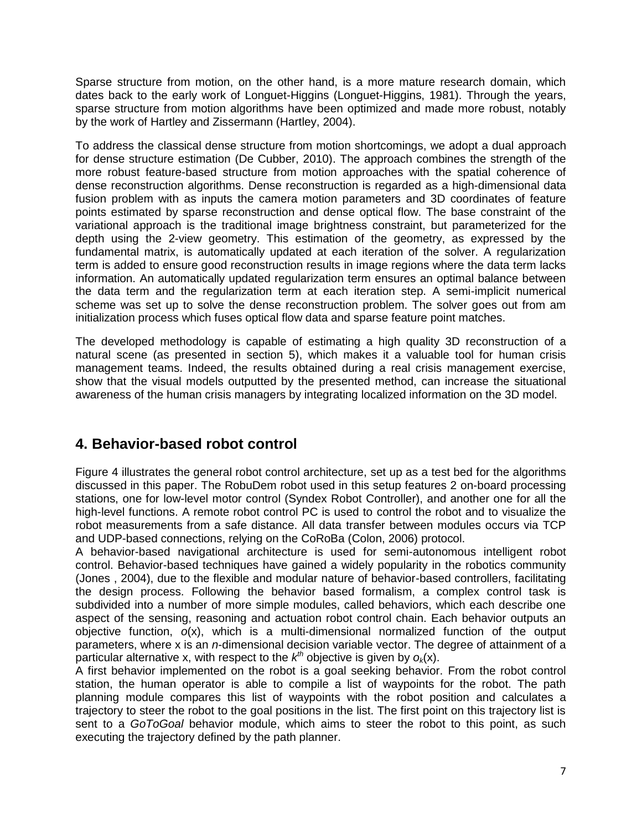Sparse structure from motion, on the other hand, is a more mature research domain, which dates back to the early work of Longuet-Higgins (Longuet-Higgins, 1981). Through the years, sparse structure from motion algorithms have been optimized and made more robust, notably by the work of Hartley and Zissermann (Hartley, 2004).

To address the classical dense structure from motion shortcomings, we adopt a dual approach for dense structure estimation (De Cubber, 2010). The approach combines the strength of the more robust feature-based structure from motion approaches with the spatial coherence of dense reconstruction algorithms. Dense reconstruction is regarded as a high-dimensional data fusion problem with as inputs the camera motion parameters and 3D coordinates of feature points estimated by sparse reconstruction and dense optical flow. The base constraint of the variational approach is the traditional image brightness constraint, but parameterized for the depth using the 2-view geometry. This estimation of the geometry, as expressed by the fundamental matrix, is automatically updated at each iteration of the solver. A regularization term is added to ensure good reconstruction results in image regions where the data term lacks information. An automatically updated regularization term ensures an optimal balance between the data term and the regularization term at each iteration step. A semi-implicit numerical scheme was set up to solve the dense reconstruction problem. The solver goes out from am initialization process which fuses optical flow data and sparse feature point matches.

The developed methodology is capable of estimating a high quality 3D reconstruction of a natural scene (as presented in section 5), which makes it a valuable tool for human crisis management teams. Indeed, the results obtained during a real crisis management exercise, show that the visual models outputted by the presented method, can increase the situational awareness of the human crisis managers by integrating localized information on the 3D model.

# **4. Behavior-based robot control**

Figure 4 illustrates the general robot control architecture, set up as a test bed for the algorithms discussed in this paper. The RobuDem robot used in this setup features 2 on-board processing stations, one for low-level motor control (Syndex Robot Controller), and another one for all the high-level functions. A remote robot control PC is used to control the robot and to visualize the robot measurements from a safe distance. All data transfer between modules occurs via TCP and UDP-based connections, relying on the CoRoBa (Colon, 2006) protocol.

A behavior-based navigational architecture is used for semi-autonomous intelligent robot control. Behavior-based techniques have gained a widely popularity in the robotics community (Jones , 2004), due to the flexible and modular nature of behavior-based controllers, facilitating the design process. Following the behavior based formalism, a complex control task is subdivided into a number of more simple modules, called behaviors, which each describe one aspect of the sensing, reasoning and actuation robot control chain. Each behavior outputs an objective function, *o*(x), which is a multi-dimensional normalized function of the output parameters, where x is an *n*-dimensional decision variable vector. The degree of attainment of a particular alternative x, with respect to the  $k^{th}$  objective is given by  $o_k(x)$ .

A first behavior implemented on the robot is a goal seeking behavior. From the robot control station, the human operator is able to compile a list of waypoints for the robot. The path planning module compares this list of waypoints with the robot position and calculates a trajectory to steer the robot to the goal positions in the list. The first point on this trajectory list is sent to a *GoToGoal* behavior module, which aims to steer the robot to this point, as such executing the trajectory defined by the path planner.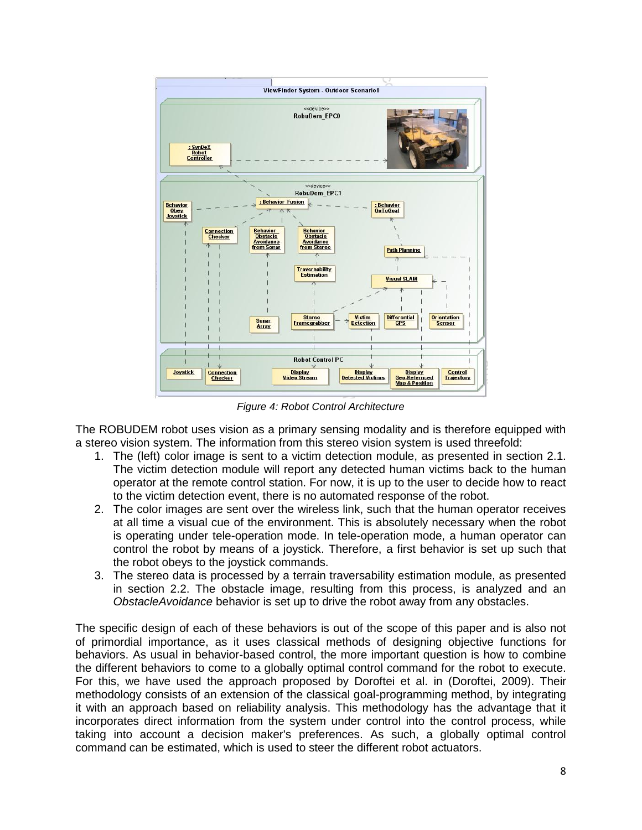

*Figure 4: Robot Control Architecture*

The ROBUDEM robot uses vision as a primary sensing modality and is therefore equipped with a stereo vision system. The information from this stereo vision system is used threefold:

- 1. The (left) color image is sent to a victim detection module, as presented in section 2.1. The victim detection module will report any detected human victims back to the human operator at the remote control station. For now, it is up to the user to decide how to react to the victim detection event, there is no automated response of the robot.
- 2. The color images are sent over the wireless link, such that the human operator receives at all time a visual cue of the environment. This is absolutely necessary when the robot is operating under tele-operation mode. In tele-operation mode, a human operator can control the robot by means of a joystick. Therefore, a first behavior is set up such that the robot obeys to the joystick commands.
- 3. The stereo data is processed by a terrain traversability estimation module, as presented in section 2.2. The obstacle image, resulting from this process, is analyzed and an *ObstacleAvoidance* behavior is set up to drive the robot away from any obstacles.

The specific design of each of these behaviors is out of the scope of this paper and is also not of primordial importance, as it uses classical methods of designing objective functions for behaviors. As usual in behavior-based control, the more important question is how to combine the different behaviors to come to a globally optimal control command for the robot to execute. For this, we have used the approach proposed by Doroftei et al. in (Doroftei, 2009). Their methodology consists of an extension of the classical goal-programming method, by integrating it with an approach based on reliability analysis. This methodology has the advantage that it incorporates direct information from the system under control into the control process, while taking into account a decision maker's preferences. As such, a globally optimal control command can be estimated, which is used to steer the different robot actuators.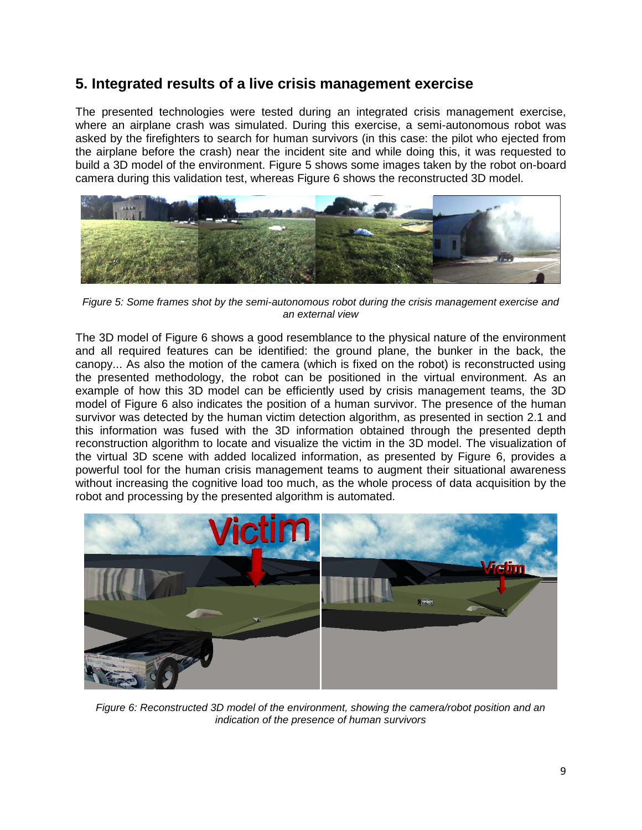### **5. Integrated results of a live crisis management exercise**

The presented technologies were tested during an integrated crisis management exercise, where an airplane crash was simulated. During this exercise, a semi-autonomous robot was asked by the firefighters to search for human survivors (in this case: the pilot who ejected from the airplane before the crash) near the incident site and while doing this, it was requested to build a 3D model of the environment. Figure 5 shows some images taken by the robot on-board camera during this validation test, whereas Figure 6 shows the reconstructed 3D model.



*Figure 5: Some frames shot by the semi-autonomous robot during the crisis management exercise and an external view*

The 3D model of Figure 6 shows a good resemblance to the physical nature of the environment and all required features can be identified: the ground plane, the bunker in the back, the canopy... As also the motion of the camera (which is fixed on the robot) is reconstructed using the presented methodology, the robot can be positioned in the virtual environment. As an example of how this 3D model can be efficiently used by crisis management teams, the 3D model of Figure 6 also indicates the position of a human survivor. The presence of the human survivor was detected by the human victim detection algorithm, as presented in section 2.1 and this information was fused with the 3D information obtained through the presented depth reconstruction algorithm to locate and visualize the victim in the 3D model. The visualization of the virtual 3D scene with added localized information, as presented by Figure 6, provides a powerful tool for the human crisis management teams to augment their situational awareness without increasing the cognitive load too much, as the whole process of data acquisition by the robot and processing by the presented algorithm is automated.



*Figure 6: Reconstructed 3D model of the environment, showing the camera/robot position and an indication of the presence of human survivors*